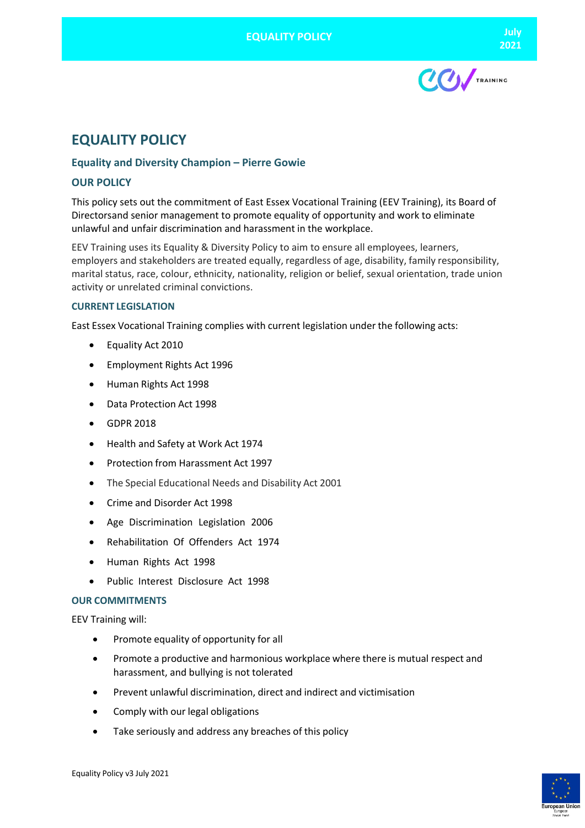



# **EQUALITY POLICY**

# **Equality and Diversity Champion – Pierre Gowie**

# **OUR POLICY**

This policy sets out the commitment of East Essex Vocational Training (EEV Training), its Board of Directorsand senior management to promote equality of opportunity and work to eliminate unlawful and unfair discrimination and harassment in the workplace.

EEV Training uses its Equality & Diversity Policy to aim to ensure all employees, learners, employers and stakeholders are treated equally, regardless of age, disability, family responsibility, marital status, race, colour, ethnicity, nationality, religion or belief, sexual orientation, trade union activity or unrelated criminal convictions.

# **CURRENT LEGISLATION**

East Essex Vocational Training complies with current legislation under the following acts:

- Equality Act 2010
- Employment Rights Act 1996
- Human Rights Act 1998
- Data Protection Act 1998
- GDPR 2018
- Health and Safety at Work Act 1974
- Protection from Harassment Act 1997
- The Special Educational Needs and Disability Act 2001
- Crime and Disorder Act 1998
- Age Discrimination Legislation 2006
- Rehabilitation Of Offenders Act 1974
- Human Rights Act 1998
- Public Interest Disclosure Act 1998

# **OUR COMMITMENTS**

EEV Training will:

- Promote equality of opportunity for all
- Promote a productive and harmonious workplace where there is mutual respect and harassment, and bullying is not tolerated
- Prevent unlawful discrimination, direct and indirect and victimisation
- Comply with our legal obligations
- Take seriously and address any breaches of this policy

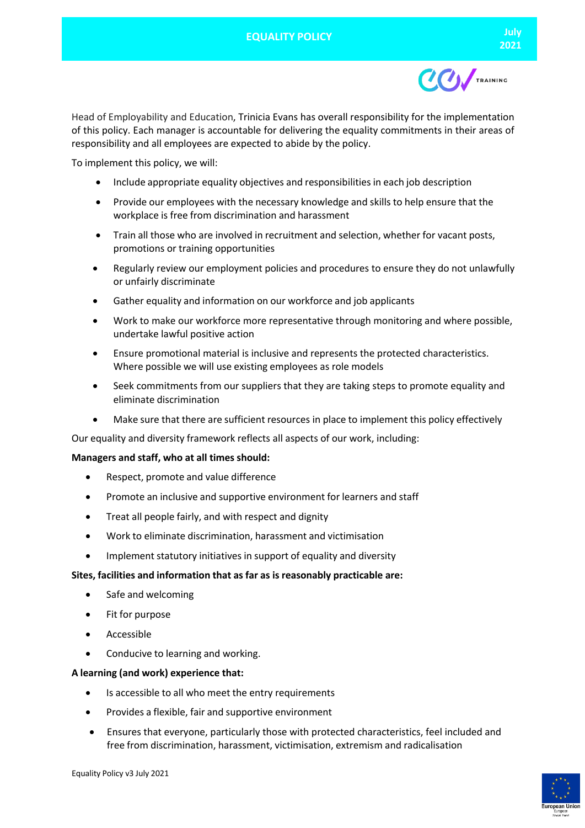

Head of Employability and Education, Trinicia Evans has overall responsibility for the implementation of this policy. Each manager is accountable for delivering the equality commitments in their areas of responsibility and all employees are expected to abide by the policy.

To implement this policy, we will:

- Include appropriate equality objectives and responsibilities in each job description
- Provide our employees with the necessary knowledge and skills to help ensure that the workplace is free from discrimination and harassment
- Train all those who are involved in recruitment and selection, whether for vacant posts, promotions or training opportunities
- Regularly review our employment policies and procedures to ensure they do not unlawfully or unfairly discriminate
- Gather equality and information on our workforce and job applicants
- Work to make our workforce more representative through monitoring and where possible, undertake lawful positive action
- Ensure promotional material is inclusive and represents the protected characteristics. Where possible we will use existing employees as role models
- Seek commitments from our suppliers that they are taking steps to promote equality and eliminate discrimination
- Make sure that there are sufficient resources in place to implement this policy effectively

Our equality and diversity framework reflects all aspects of our work, including:

# **Managers and staff, who at all times should:**

- Respect, promote and value difference
- Promote an inclusive and supportive environment for learners and staff
- Treat all people fairly, and with respect and dignity
- Work to eliminate discrimination, harassment and victimisation
- Implement statutory initiatives in support of equality and diversity

# **Sites, facilities and information that as far as is reasonably practicable are:**

- Safe and welcoming
- Fit for purpose
- Accessible
- Conducive to learning and working.

# **A learning (and work) experience that:**

- Is accessible to all who meet the entry requirements
- Provides a flexible, fair and supportive environment
- Ensures that everyone, particularly those with protected characteristics, feel included and free from discrimination, harassment, victimisation, extremism and radicalisation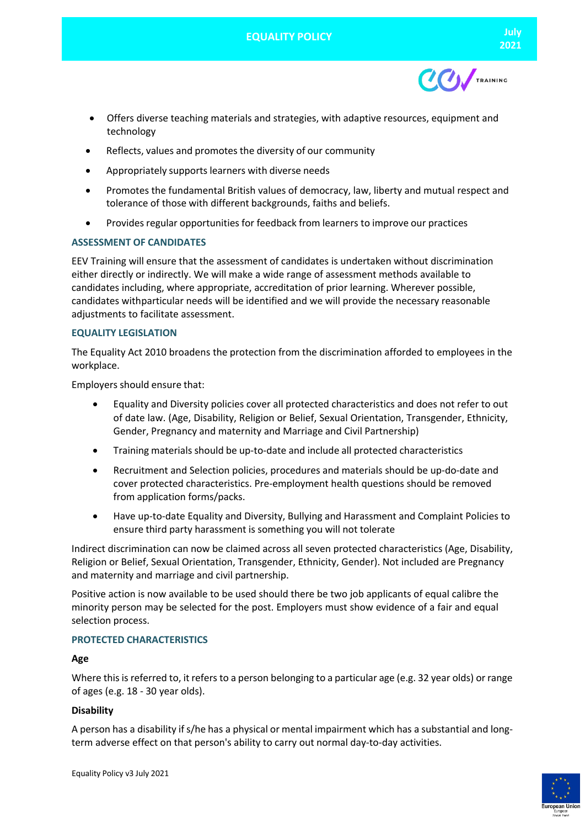

- Offers diverse teaching materials and strategies, with adaptive resources, equipment and technology
- Reflects, values and promotes the diversity of our community
- Appropriately supports learners with diverse needs
- Promotes the fundamental British values of democracy, law, liberty and mutual respect and tolerance of those with different backgrounds, faiths and beliefs.
- Provides regular opportunities for feedback from learners to improve our practices

# **ASSESSMENT OF CANDIDATES**

EEV Training will ensure that the assessment of candidates is undertaken without discrimination either directly or indirectly. We will make a wide range of assessment methods available to candidates including, where appropriate, accreditation of prior learning. Wherever possible, candidates withparticular needs will be identified and we will provide the necessary reasonable adjustments to facilitate assessment.

# **EQUALITY LEGISLATION**

The Equality Act 2010 broadens the protection from the discrimination afforded to employees in the workplace.

Employers should ensure that:

- Equality and Diversity policies cover all protected characteristics and does not refer to out of date law. (Age, Disability, Religion or Belief, Sexual Orientation, Transgender, Ethnicity, Gender, Pregnancy and maternity and Marriage and Civil Partnership)
- Training materials should be up-to-date and include all protected characteristics
- Recruitment and Selection policies, procedures and materials should be up-do-date and cover protected characteristics. Pre-employment health questions should be removed from application forms/packs.
- Have up-to-date Equality and Diversity, Bullying and Harassment and Complaint Policies to ensure third party harassment is something you will not tolerate

Indirect discrimination can now be claimed across all seven protected characteristics (Age, Disability, Religion or Belief, Sexual Orientation, Transgender, Ethnicity, Gender). Not included are Pregnancy and maternity and marriage and civil partnership.

Positive action is now available to be used should there be two job applicants of equal calibre the minority person may be selected for the post. Employers must show evidence of a fair and equal selection process.

# **PROTECTED CHARACTERISTICS**

# **Age**

Where this is referred to, it refers to a person belonging to a particular age (e.g. 32 year olds) or range of ages (e.g. 18 - 30 year olds).

# **Disability**

A person has a disability ifs/he has a physical or mental impairment which has a substantial and longterm adverse effect on that person's ability to carry out normal day-to-day activities.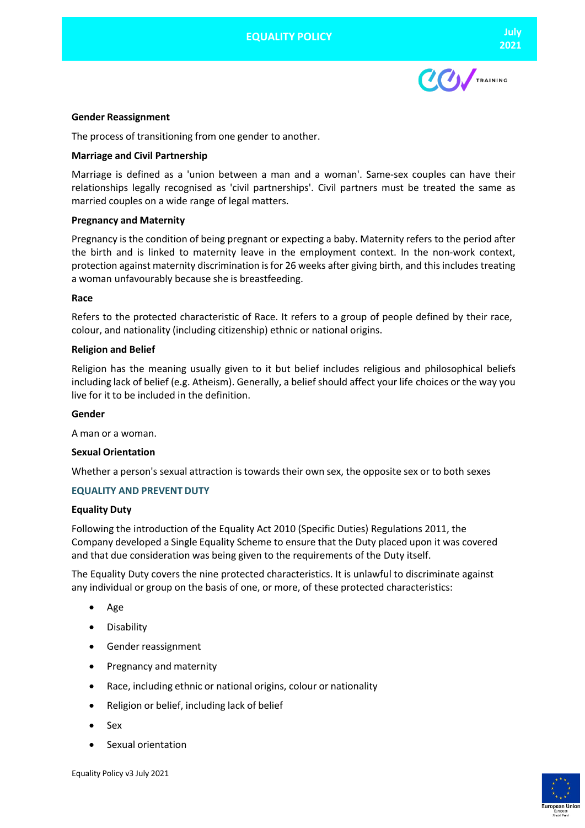



# **Gender Reassignment**

The process of transitioning from one gender to another.

## **Marriage and Civil Partnership**

Marriage is defined as a 'union between a man and a woman'. Same-sex couples can have their relationships legally recognised as 'civil partnerships'. Civil partners must be treated the same as married couples on a wide range of legal matters.

## **Pregnancy and Maternity**

Pregnancy is the condition of being pregnant or expecting a baby. Maternity refers to the period after the birth and is linked to maternity leave in the employment context. In the non-work context, protection against maternity discrimination is for 26 weeks after giving birth, and this includes treating a woman unfavourably because she is breastfeeding.

## **Race**

Refers to the protected characteristic of Race. It refers to a group of people defined by their race, colour, and nationality (including citizenship) ethnic or national origins.

## **Religion and Belief**

Religion has the meaning usually given to it but belief includes religious and philosophical beliefs including lack of belief (e.g. Atheism). Generally, a belief should affect your life choices or the way you live for it to be included in the definition.

## **Gender**

A man or a woman.

## **Sexual Orientation**

Whether a person's sexual attraction is towards their own sex, the opposite sex or to both sexes

# **EQUALITY AND PREVENT DUTY**

## **Equality Duty**

Following the introduction of the Equality Act 2010 (Specific Duties) Regulations 2011, the Company developed a Single Equality Scheme to ensure that the Duty placed upon it was covered and that due consideration was being given to the requirements of the Duty itself.

The Equality Duty covers the nine protected characteristics. It is unlawful to discriminate against any individual or group on the basis of one, or more, of these protected characteristics:

- Age
- Disability
- Gender reassignment
- Pregnancy and maternity
- Race, including ethnic or national origins, colour or nationality
- Religion or belief, including lack of belief
- Sex
- Sexual orientation

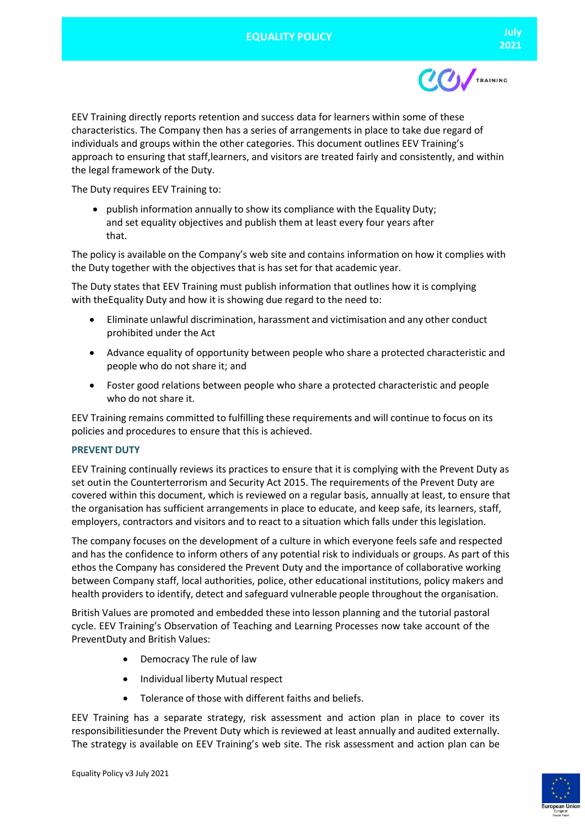

EEV Training directly reports retention and success data for learners within some of these characteristics. The Company then has a series of arrangements in place to take due regard of individuals and groups within the other categories. This document outlines EEV Training's approach to ensuring that staff,learners, and visitors are treated fairly and consistently, and within the legal framework of the Duty.

The Duty requires EEV Training to:

• publish information annually to show its compliance with the Equality Duty; and set equality objectives and publish them at least every four years after that.

The policy is available on the Company's web site and contains information on how it complies with the Duty together with the objectives that is has set for that academic year.

The Duty states that EEV Training must publish information that outlines how it is complying with theEquality Duty and how it is showing due regard to the need to:

- Eliminate unlawful discrimination, harassment and victimisation and any other conduct prohibited under the Act
- Advance equality of opportunity between people who share a protected characteristic and people who do not share it; and
- Foster good relations between people who share a protected characteristic and people who do not share it.

EEV Training remains committed to fulfilling these requirements and will continue to focus on its policies and procedures to ensure that this is achieved.

# **PREVENT DUTY**

EEV Training continually reviews its practices to ensure that it is complying with the Prevent Duty as set out in the Counterterrorism and Security Act 2015. The requirements of the Prevent Duty are covered within this document, which is reviewed on a regular basis, annually at least, to ensure that the organisation has sufficient arrangements in place to educate, and keep safe, its learners, staff, employers, contractors and visitors and to react to a situation which falls under this legislation.

The company focuses on the development of a culture in which everyone feels safe and respected and has the confidence to inform others of any potential risk to individuals or groups. As part of this ethos the Company has considered the Prevent Duty and the importance of collaborative working between Company staff, local authorities, police, other educational institutions, policy makers and health providers to identify, detect and safeguard vulnerable people throughout the organisation.

British Values are promoted and embedded these into lesson planning and the tutorial pastoral cycle. EEV Training's Observation of Teaching and Learning Processes now take account of the PreventDuty and British Values:

- Democracy The rule of law
- Individual liberty Mutual respect
- Tolerance of those with different faiths and beliefs.

EEV Training has a separate strategy, risk assessment and action plan in place to cover its responsibilitiesunder the Prevent Duty which is reviewed at least annually and audited externally. The strategy is available on EEV Training's web site. The risk assessment and action plan can be



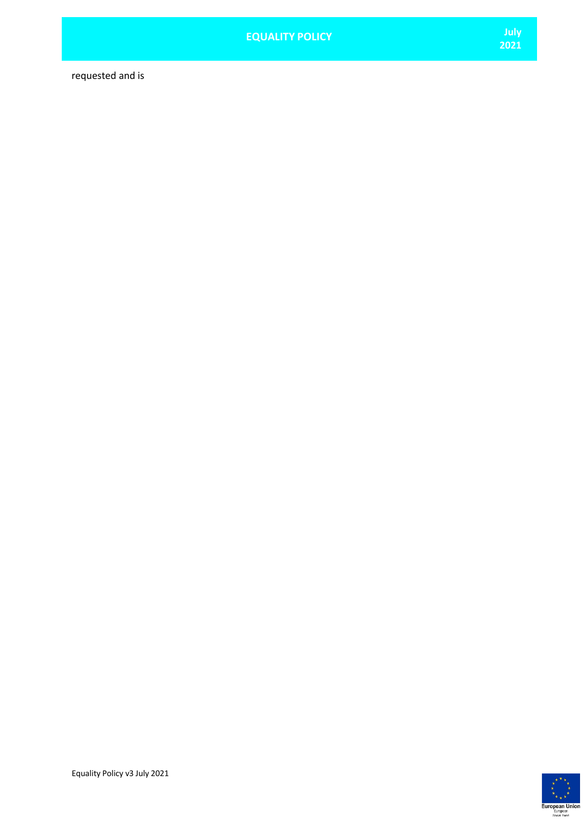requested and is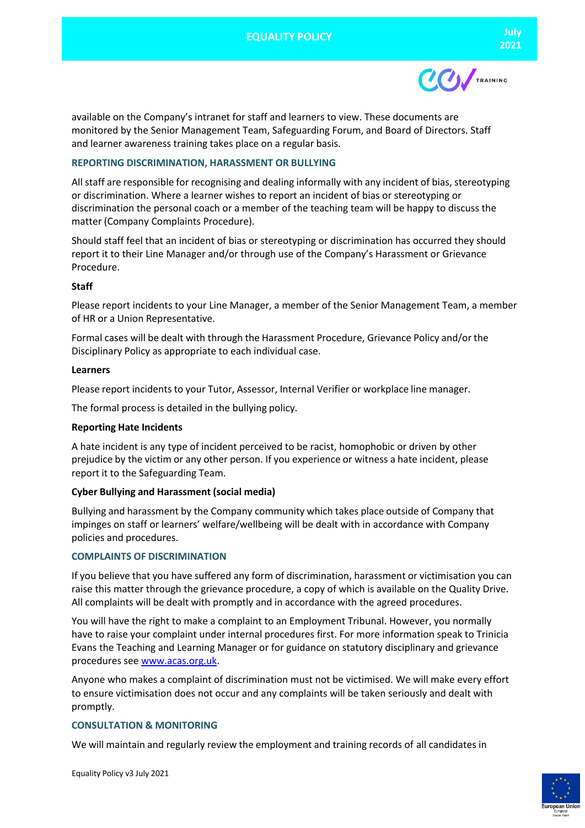

available on the Company's intranet for staff and learners to view. These documents are monitored by the Senior Management Team, Safeguarding Forum, and Board of Directors. Staff and learner awareness training takes place on a regular basis.

# **REPORTING DISCRIMINATION, HARASSMENT OR BULLYING**

All staff are responsible for recognising and dealing informally with any incident of bias, stereotyping or discrimination. Where a learner wishes to report an incident of bias or stereotyping or discrimination the personal coach or a member of the teaching team will be happy to discuss the matter (Company Complaints Procedure).

Should staff feel that an incident of bias or stereotyping or discrimination has occurred they should report it to their Line Manager and/or through use of the Company's Harassment or Grievance Procedure.

# **Staff**

Please report incidents to your Line Manager, a member of the Senior Management Team, a member of HR or a Union Representative.

Formal cases will be dealt with through the Harassment Procedure, Grievance Policy and/or the Disciplinary Policy as appropriate to each individual case.

# **Learners**

Please report incidents to your Tutor, Assessor, Internal Verifier or workplace line manager.

The formal process is detailed in the bullying policy.

# **Reporting Hate Incidents**

A hate incident is any type of incident perceived to be racist, homophobic or driven by other prejudice by the victim or any other person. If you experience or witness a hate incident, please report it to the Safeguarding Team.

# **Cyber Bullying and Harassment (social media)**

Bullying and harassment by the Company community which takes place outside of Company that impinges on staff or learners' welfare/wellbeing will be dealt with in accordance with Company policies and procedures.

# **COMPLAINTS OF DISCRIMINATION**

If you believe that you have suffered any form of discrimination, harassment or victimisation you can raise this matter through the grievance procedure, a copy of which is available on the Quality Drive. All complaints will be dealt with promptly and in accordance with the agreed procedures.

You will have the right to make a complaint to an Employment Tribunal. However, you normally have to raise your complaint under internal procedures first. For more information speak to Trinicia Evans the Teaching and Learning Manager or for guidance on statutory disciplinary and grievance procedures see www.acas.org.uk.

Anyone who makes a complaint of discrimination must not be victimised. We will make every effort to ensure victimisation does not occur and any complaints will be taken seriously and dealt with promptly.

# **CONSULTATION & MONITORING**

We will maintain and regularly review the employment and training records of all candidates in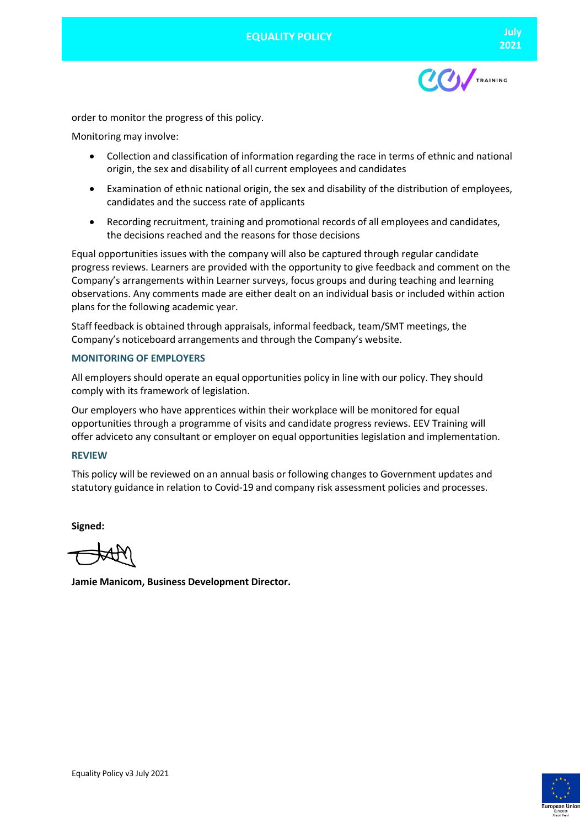

order to monitor the progress of this policy.

Monitoring may involve:

- Collection and classification of information regarding the race in terms of ethnic and national origin, the sex and disability of all current employees and candidates
- Examination of ethnic national origin, the sex and disability of the distribution of employees, candidates and the success rate of applicants
- Recording recruitment, training and promotional records of all employees and candidates, the decisions reached and the reasons for those decisions

Equal opportunities issues with the company will also be captured through regular candidate progress reviews. Learners are provided with the opportunity to give feedback and comment on the Company's arrangements within Learner surveys, focus groups and during teaching and learning observations. Any comments made are either dealt on an individual basis or included within action plans for the following academic year.

Staff feedback is obtained through appraisals, informal feedback, team/SMT meetings, the Company's noticeboard arrangements and through the Company's website.

# **MONITORING OF EMPLOYERS**

All employers should operate an equal opportunities policy in line with our policy. They should comply with its framework of legislation.

Our employers who have apprentices within their workplace will be monitored for equal opportunities through a programme of visits and candidate progress reviews. EEV Training will offer adviceto any consultant or employer on equal opportunities legislation and implementation.

# **REVIEW**

This policy will be reviewed on an annual basis or following changes to Government updates and statutory guidance in relation to Covid-19 and company risk assessment policies and processes.

**Signed:**

**Jamie Manicom, Business Development Director.**

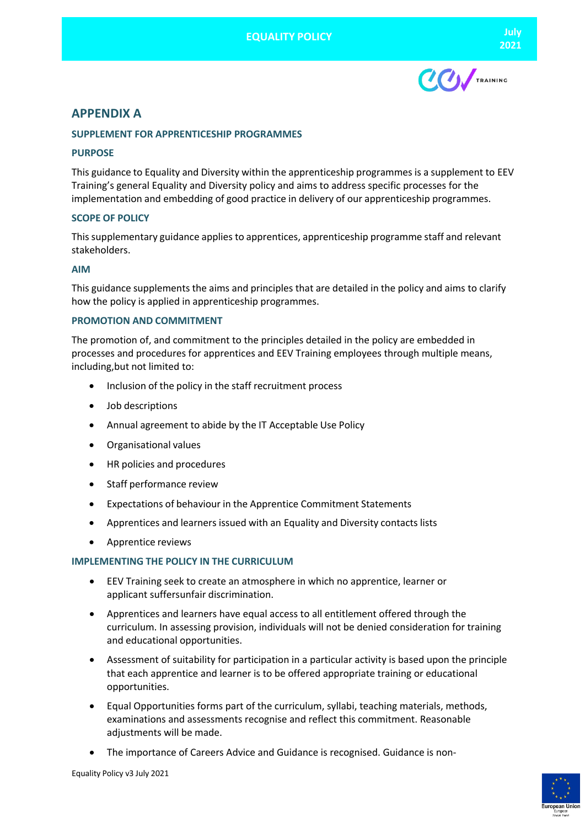

# **APPENDIX A**

# **SUPPLEMENT FOR APPRENTICESHIP PROGRAMMES**

# **PURPOSE**

This guidance to Equality and Diversity within the apprenticeship programmes is a supplement to EEV Training's general Equality and Diversity policy and aims to address specific processes for the implementation and embedding of good practice in delivery of our apprenticeship programmes.

# **SCOPE OF POLICY**

This supplementary guidance applies to apprentices, apprenticeship programme staff and relevant stakeholders.

# **AIM**

This guidance supplements the aims and principles that are detailed in the policy and aims to clarify how the policy is applied in apprenticeship programmes.

# **PROMOTION AND COMMITMENT**

The promotion of, and commitment to the principles detailed in the policy are embedded in processes and procedures for apprentices and EEV Training employees through multiple means, including,but not limited to:

- Inclusion of the policy in the staff recruitment process
- Job descriptions
- Annual agreement to abide by the IT Acceptable Use Policy
- Organisational values
- HR policies and procedures
- Staff performance review
- Expectations of behaviour in the Apprentice Commitment Statements
- Apprentices and learners issued with an Equality and Diversity contacts lists
- Apprentice reviews

# **IMPLEMENTING THE POLICY IN THE CURRICULUM**

- EEV Training seek to create an atmosphere in which no apprentice, learner or applicant suffersunfair discrimination.
- Apprentices and learners have equal access to all entitlement offered through the curriculum. In assessing provision, individuals will not be denied consideration for training and educational opportunities.
- Assessment of suitability for participation in a particular activity is based upon the principle that each apprentice and learner is to be offered appropriate training or educational opportunities.
- Equal Opportunities forms part of the curriculum, syllabi, teaching materials, methods, examinations and assessments recognise and reflect this commitment. Reasonable adjustments will be made.
- The importance of Careers Advice and Guidance is recognised. Guidance is non-

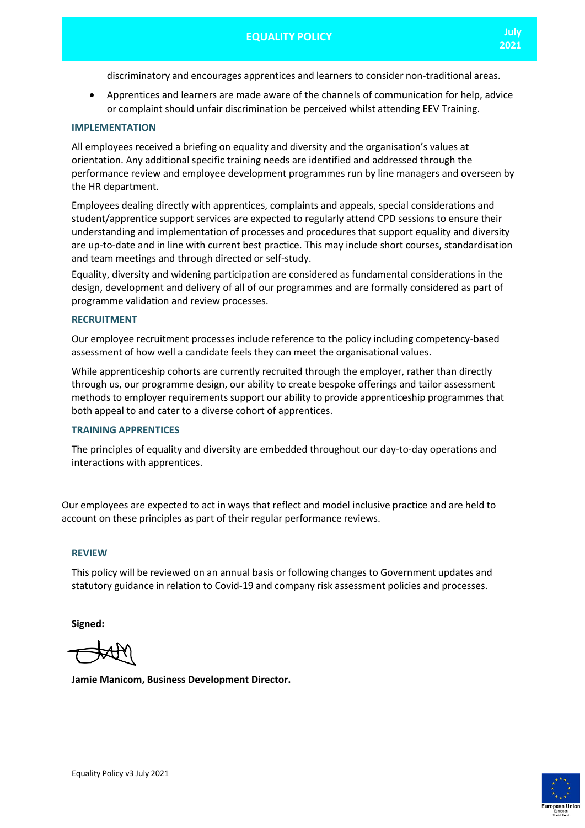discriminatory and encourages apprentices and learners to consider non-traditional areas.

• Apprentices and learners are made aware of the channels of communication for help, advice or complaint should unfair discrimination be perceived whilst attending EEV Training.

## **IMPLEMENTATION**

All employees received a briefing on equality and diversity and the organisation's values at orientation. Any additional specific training needs are identified and addressed through the performance review and employee development programmes run by line managers and overseen by the HR department.

Employees dealing directly with apprentices, complaints and appeals, special considerations and student/apprentice support services are expected to regularly attend CPD sessions to ensure their understanding and implementation of processes and procedures that support equality and diversity are up-to-date and in line with current best practice. This may include short courses, standardisation and team meetings and through directed or self-study.

Equality, diversity and widening participation are considered as fundamental considerations in the design, development and delivery of all of our programmes and are formally considered as part of programme validation and review processes.

## **RECRUITMENT**

Our employee recruitment processes include reference to the policy including competency-based assessment of how well a candidate feels they can meet the organisational values.

While apprenticeship cohorts are currently recruited through the employer, rather than directly through us, our programme design, our ability to create bespoke offerings and tailor assessment methods to employer requirements support our ability to provide apprenticeship programmes that both appeal to and cater to a diverse cohort of apprentices.

# **TRAINING APPRENTICES**

The principles of equality and diversity are embedded throughout our day-to-day operations and interactions with apprentices.

Our employees are expected to act in ways that reflect and model inclusive practice and are held to account on these principles as part of their regular performance reviews.

## **REVIEW**

This policy will be reviewed on an annual basis or following changes to Government updates and statutory guidance in relation to Covid-19 and company risk assessment policies and processes.

**Signed:**

**Jamie Manicom, Business Development Director.**